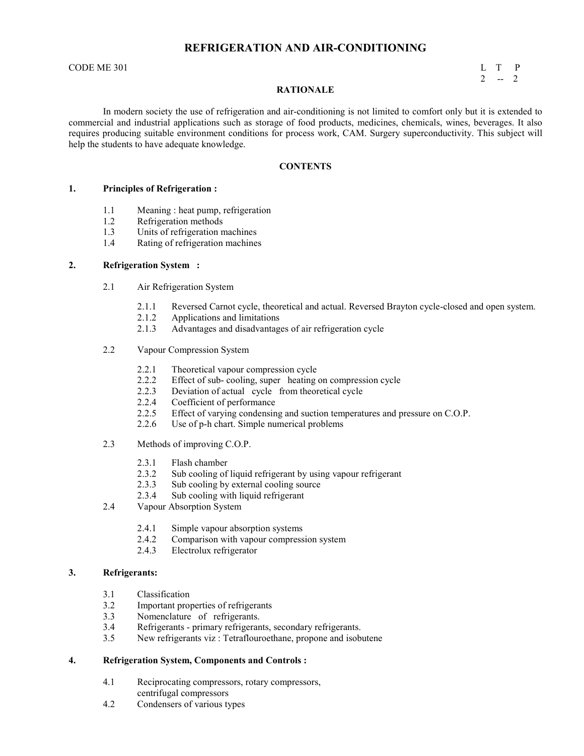# **REFRIGERATION AND AIR-CONDITIONING**

CODE ME 301 L T P

 $2 - 2$ 

### **RATIONALE**

In modern society the use of refrigeration and air-conditioning is not limited to comfort only but it is extended to commercial and industrial applications such as storage of food products, medicines, chemicals, wines, beverages. It also requires producing suitable environment conditions for process work, CAM. Surgery superconductivity. This subject will help the students to have adequate knowledge.

#### **CONTENTS**

#### **1. Principles of Refrigeration :**

- 1.1 Meaning : heat pump, refrigeration<br>1.2 Refrigeration methods
- Refrigeration methods
- 1.3 Units of refrigeration machines
- 1.4 Rating of refrigeration machines

#### **2. Refrigeration System :**

- 2.1 Air Refrigeration System
	- 2.1.1 Reversed Carnot cycle, theoretical and actual. Reversed Brayton cycle-closed and open system.
	- 2.1.2 Applications and limitations
	- 2.1.3 Advantages and disadvantages of air refrigeration cycle
- 2.2 Vapour Compression System
	- 2.2.1 Theoretical vapour compression cycle
	- 2.2.2 Effect of sub- cooling, super heating on compression cycle
	- 2.2.3 Deviation of actual cycle from theoretical cycle<br>2.2.4 Coefficient of performance
	- Coefficient of performance
	- 2.2.5 Effect of varying condensing and suction temperatures and pressure on C.O.P.
	- 2.2.6 Use of p-h chart. Simple numerical problems
- 2.3 Methods of improving C.O.P.
	- 2.3.1 Flash chamber
	- 2.3.2 Sub cooling of liquid refrigerant by using vapour refrigerant 2.3.3 Sub cooling by external cooling source
	- Sub cooling by external cooling source
	- 2.3.4 Sub cooling with liquid refrigerant
- 2.4 Vapour Absorption System
	- 2.4.1 Simple vapour absorption systems
	- 2.4.2 Comparison with vapour compression system<br>2.4.3 Electrolux refrigerator
	- Electrolux refrigerator

#### **3. Refrigerants:**

- 3.1 Classification
- 3.2 Important properties of refrigerants<br>3.3 Nomenclature of refrigerants.
- Nomenclature of refrigerants.
- 3.4 Refrigerants primary refrigerants, secondary refrigerants.
- 3.5 New refrigerants viz : Tetraflouroethane, propone and isobutene

#### **4. Refrigeration System, Components and Controls :**

- 4.1 Reciprocating compressors, rotary compressors, centrifugal compressors
- 4.2 Condensers of various types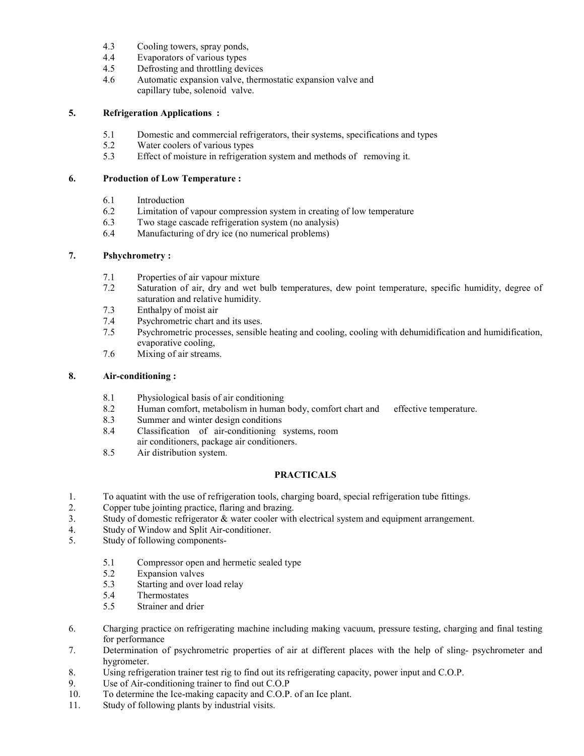- 4.3 Cooling towers, spray ponds,
- 4.4 Evaporators of various types<br>4.5 Defrosting and throttling deve
- Defrosting and throttling devices
- 4.6 Automatic expansion valve, thermostatic expansion valve and capillary tube, solenoid valve.

### **5. Refrigeration Applications :**

- 5.1 Domestic and commercial refrigerators, their systems, specifications and types
- 5.2 Water coolers of various types
- 5.3 Effect of moisture in refrigeration system and methods of removing it.

# **6. Production of Low Temperature :**

- 6.1 Introduction
- 6.2 Limitation of vapour compression system in creating of low temperature
- 6.3 Two stage cascade refrigeration system (no analysis)<br>6.4 Manufacturing of drv ice (no numerical problems)
- Manufacturing of dry ice (no numerical problems)

# **7. Pshychrometry :**

- 7.1 Properties of air vapour mixture
- 7.2 Saturation of air, dry and wet bulb temperatures, dew point temperature, specific humidity, degree of saturation and relative humidity.
- 7.3 Enthalpy of moist air
- 7.4 Psychrometric chart and its uses.<br>7.5 Psychrometric processes, sensible
- Psychrometric processes, sensible heating and cooling, cooling with dehumidification and humidification, evaporative cooling,
- 7.6 Mixing of air streams.

# **8. Air-conditioning :**

- 8.1 Physiological basis of air conditioning<br>8.2 Human comfort, metabolism in human
- Human comfort, metabolism in human body, comfort chart and effective temperature.
- 8.3 Summer and winter design conditions<br>8.4 Classification of air-conditioning
- Classification of air-conditioning systems, room
- air conditioners, package air conditioners.
- 8.5 Air distribution system.

# **PRACTICALS**

- 1. To aquatint with the use of refrigeration tools, charging board, special refrigeration tube fittings.
- 2. Copper tube jointing practice, flaring and brazing.
- 3. Study of domestic refrigerator & water cooler with electrical system and equipment arrangement.
- 4. Study of Window and Split Air-conditioner.
- 5. Study of following components-
	- 5.1 Compressor open and hermetic sealed type
	- 5.2 Expansion valves
	- 5.3 Starting and over load relay
	- 5.4 Thermostates
	- 5.5 Strainer and drier
- 6. Charging practice on refrigerating machine including making vacuum, pressure testing, charging and final testing for performance
- 7. Determination of psychrometric properties of air at different places with the help of sling- psychrometer and hygrometer.
- 8. Using refrigeration trainer test rig to find out its refrigerating capacity, power input and C.O.P.
- 9. Use of Air-conditioning trainer to find out C.O.P<br>10. To determine the Ice-making capacity and C.O.P.
- 10. To determine the Ice-making capacity and C.O.P. of an Ice plant.
- 11. Study of following plants by industrial visits.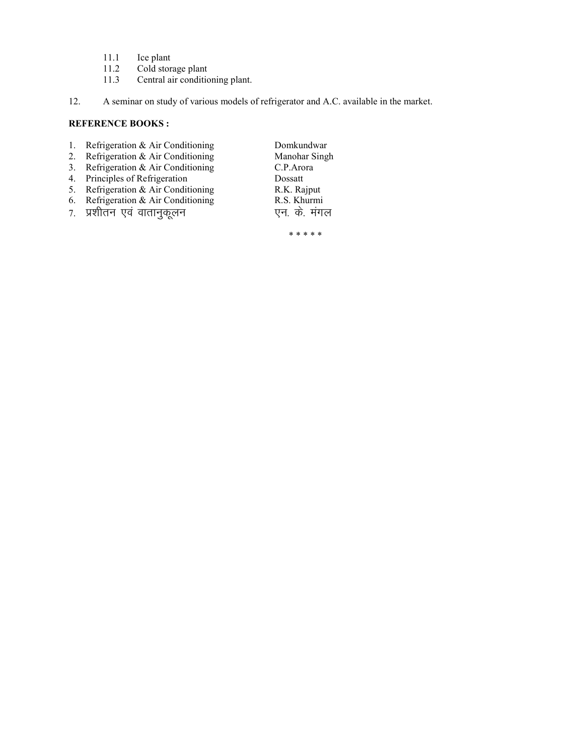- 11.1 Ice plant<br>11.2 Cold stor
- 11.2 Cold storage plant<br>11.3 Central air condition
- Central air conditioning plant.
- 12. A seminar on study of various models of refrigerator and A.C. available in the market.

# **REFERENCE BOOKS:**

- 1. Refrigeration & Air Conditioning Domkundwar
- 2. Refrigeration & Air Conditioning Manohar Singh
- 3. Refrigeration & Air Conditioning C.P.Arora
- 4. Principles of Refrigeration Dossatt
- 5. Refrigeration & Air Conditioning R.K. Rajput
- 6. Refrigeration & Air Conditioning R.S. Khurmi
- 7. प्रशीतन एवं वातानुकूलन एन. के. मंगल

\* \* \* \* \*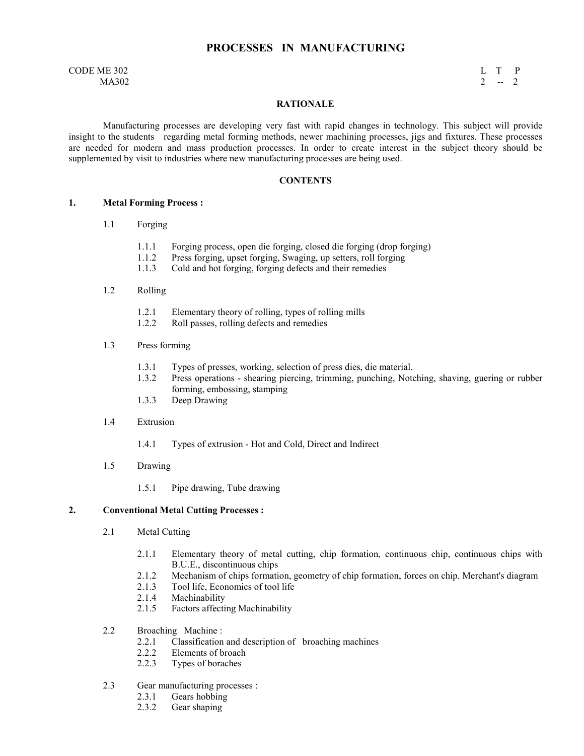# **PROCESSES IN MANUFACTURING**

#### $\Box$  CODE ME 302 L T P  $MA302$  2 -- 2

#### **RATIONALE**

 Manufacturing processes are developing very fast with rapid changes in technology. This subject will provide insight to the students regarding metal forming methods, newer machining processes, jigs and fixtures. These processes are needed for modern and mass production processes. In order to create interest in the subject theory should be supplemented by visit to industries where new manufacturing processes are being used.

#### **CONTENTS**

#### **1. Metal Forming Process :**

- 1.1 Forging
	- 1.1.1 Forging process, open die forging, closed die forging (drop forging)
	- 1.1.2 Press forging, upset forging, Swaging, up setters, roll forging<br>1.1.3 Cold and hot forging, forging defects and their remedies
	- Cold and hot forging, forging defects and their remedies

#### 1.2 Rolling

- 1.2.1 Elementary theory of rolling, types of rolling mills
- 1.2.2 Roll passes, rolling defects and remedies
- 1.3 Press forming
	- 1.3.1 Types of presses, working, selection of press dies, die material.
	- 1.3.2 Press operations shearing piercing, trimming, punching, Notching, shaving, guering or rubber forming, embossing, stamping
	- 1.3.3 Deep Drawing
- 1.4 Extrusion
	- 1.4.1 Types of extrusion Hot and Cold, Direct and Indirect
- 1.5 Drawing
	- 1.5.1 Pipe drawing, Tube drawing

#### **2. Conventional Metal Cutting Processes :**

- 2.1 Metal Cutting
	- 2.1.1 Elementary theory of metal cutting, chip formation, continuous chip, continuous chips with B.U.E., discontinuous chips
	- 2.1.2 Mechanism of chips formation, geometry of chip formation, forces on chip. Merchant's diagram
	- 2.1.3 Tool life, Economics of tool life<br>2.1.4 Machinability
	- 2.1.4 Machinability<br>2.1.5 Factors affecti
	- Factors affecting Machinability
- 2.2 Broaching Machine :
	- 2.2.1 Classification and description of broaching machines
	- 2.2.2 Elements of broach<br>2.2.3 Types of boraches
	- Types of boraches
- 2.3 Gear manufacturing processes :
	- 2.3.1 Gears hobbing
	- 2.3.2 Gear shaping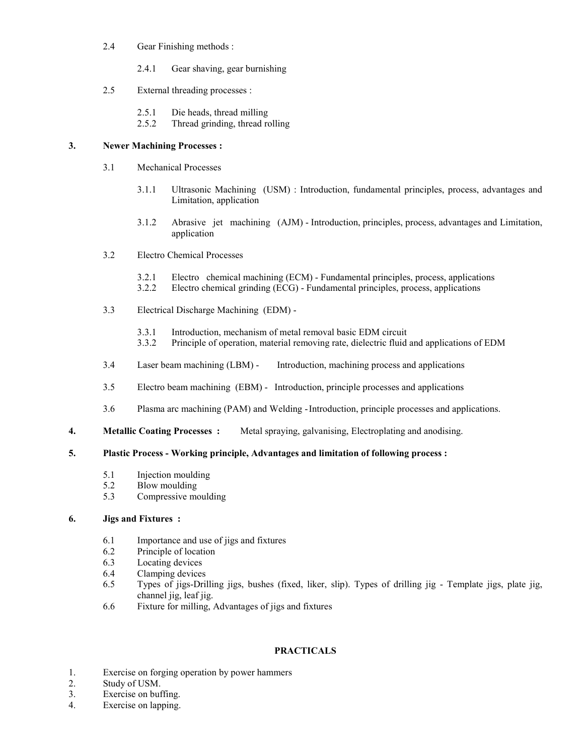- 2.4 Gear Finishing methods :
	- 2.4.1 Gear shaving, gear burnishing
- 2.5 External threading processes :
	- 2.5.1 Die heads, thread milling
	- 2.5.2 Thread grinding, thread rolling

# **3. ewer Machining Processes :**

- 3.1 Mechanical Processes
	- 3.1.1 Ultrasonic Machining (USM) : Introduction, fundamental principles, process, advantages and Limitation, application
	- 3.1.2 Abrasive jet machining (AJM) Introduction, principles, process, advantages and Limitation, application
- 3.2 Electro Chemical Processes
	- 3.2.1 Electro chemical machining (ECM) Fundamental principles, process, applications
	- 3.2.2 Electro chemical grinding (ECG) Fundamental principles, process, applications
- 3.3 Electrical Discharge Machining (EDM)
	- 3.3.1 Introduction, mechanism of metal removal basic EDM circuit
	- 3.3.2 Principle of operation, material removing rate, dielectric fluid and applications of EDM
- 3.4 Laser beam machining (LBM) Introduction, machining process and applications
- 3.5 Electro beam machining (EBM) Introduction, principle processes and applications
- 3.6 Plasma arc machining (PAM) and Welding Introduction, principle processes and applications.
- **4. Metallic Coating Processes :** Metal spraying, galvanising, Electroplating and anodising.

### **5. Plastic Process - Working principle, Advantages and limitation of following process :**

- 5.1 Injection moulding
- 5.2 Blow moulding
- 5.3 Compressive moulding

# **6. Jigs and Fixtures :**

- 6.1 Importance and use of jigs and fixtures
- 6.2 Principle of location<br>6.3 Locating devices
- Locating devices
- 6.4 Clamping devices
- 6.5 Types of jigs-Drilling jigs, bushes (fixed, liker, slip). Types of drilling jig Template jigs, plate jig, channel jig, leaf jig.
- 6.6 Fixture for milling, Advantages of jigs and fixtures

### **PRACTICALS**

- 1. Exercise on forging operation by power hammers
- 2. Study of USM.<br>3. Exercise on buf
- Exercise on buffing.
- 4. Exercise on lapping.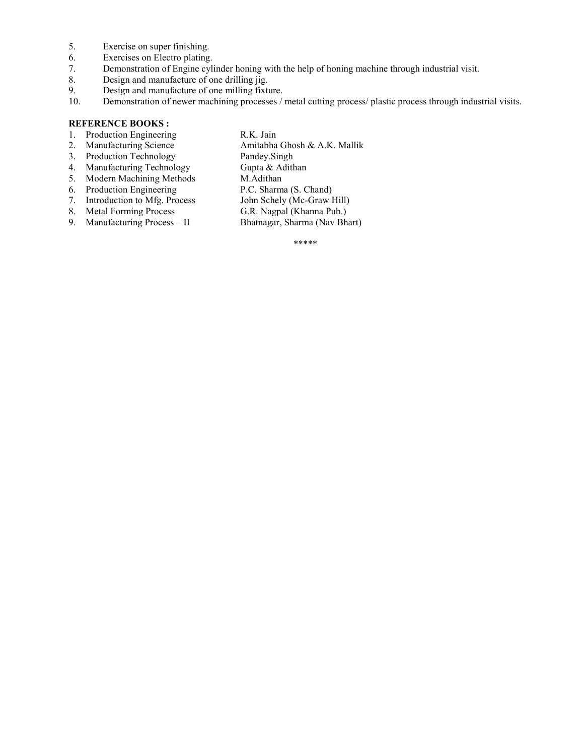- 5. Exercise on super finishing.
- 6. Exercises on Electro plating.<br>7. Demonstration of Engine cyl
- Demonstration of Engine cylinder honing with the help of honing machine through industrial visit.
- 8. Design and manufacture of one drilling jig.
- 9. Design and manufacture of one milling fixture.<br>10. Demonstration of newer machining processes /
- Demonstration of newer machining processes / metal cutting process/ plastic process through industrial visits.

# **REFERENCE BOOKS:**

- 1. Production Engineering R.K. Jain
- Amitabha Ghosh & A.K. Mallik 2. Manufacturing Science<br>
3. Production Technology<br>
4. Manufacturing Technology<br>
9. Gupta & Adithan
- 
- 
- 4. Manufacturing Technology Gupta & Adi<br>5. Modern Machining Methods M.Adithan 5. Modern Machining Methods M.Adithan<br>6. Production Engineering P.C. Sharma (S. Chand)
- 
- 6. Production Engineering P.C. Sharma (S. Chand)<br>
7. Introduction to Mfg. Process John Schely (Mc-Graw Hill)
- 
- 9. Manufacturing Process II

- 
- 7. Introduction to Mfg. Process John Schely (Mc-Graw Hill)<br>
8. Metal Forming Process G.R. Nagpal (Khanna Pub.)
	-
- 8. Metal Forming Process G.R. Nagpal (Khanna Pub.)<br>
9. Manufacturing Process II Bhatnagar, Sharma (Nav Bhart)

\*\*\*\*\*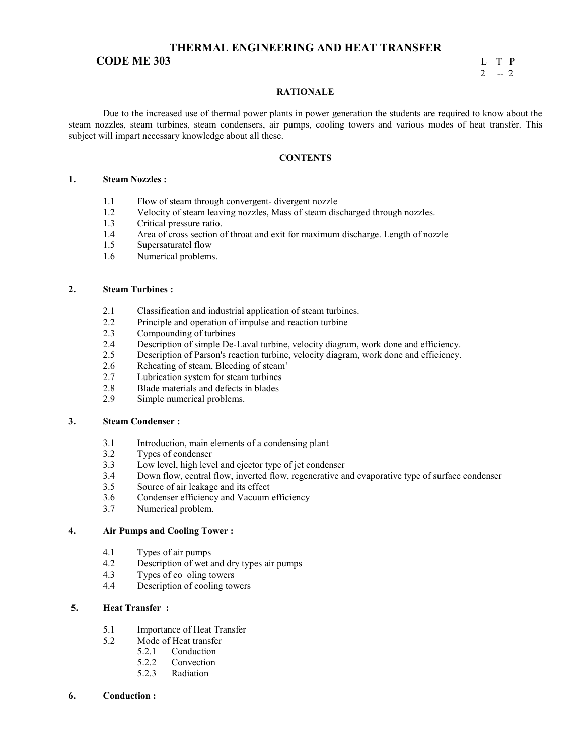# **THERMAL ENGINEERING AND HEAT TRANSFER**

# **CODE ME 303** L T P<br>2 - 2

# $2 - 2$

#### **RATIONALE**

 Due to the increased use of thermal power plants in power generation the students are required to know about the steam nozzles, steam turbines, steam condensers, air pumps, cooling towers and various modes of heat transfer. This subject will impart necessary knowledge about all these.

#### **CONTENTS**

#### 1. **Steam Nozzles :**

- 1.1 Flow of steam through convergent- divergent nozzle
- 1.2 Velocity of steam leaving nozzles, Mass of steam discharged through nozzles.<br>1.3 Critical pressure ratio.
- Critical pressure ratio.
- 1.4 Area of cross section of throat and exit for maximum discharge. Length of nozzle
- 1.5 Supersaturatel flow<br>1.6 Numerical problems
- Numerical problems.

#### **2. Steam Turbines :**

- 2.1 Classification and industrial application of steam turbines.<br>2.2 Principle and operation of impulse and reaction turbine
- Principle and operation of impulse and reaction turbine
- 2.3 Compounding of turbines
- 2.4 Description of simple De-Laval turbine, velocity diagram, work done and efficiency.<br>2.5 Description of Parson's reaction turbine, velocity diagram, work done and efficiency.
- Description of Parson's reaction turbine, velocity diagram, work done and efficiency.
- 2.6 Reheating of steam, Bleeding of steam'
- 2.7 Lubrication system for steam turbines<br>2.8 Blade materials and defects in blades
- 2.8 Blade materials and defects in blades<br>2.9 Simple numerical problems
- Simple numerical problems.

#### **3. Steam Condenser :**

- 3.1 Introduction, main elements of a condensing plant<br>3.2 Types of condenser
- Types of condenser
- 3.3 Low level, high level and ejector type of jet condenser
- 3.4 Down flow, central flow, inverted flow, regenerative and evaporative type of surface condenser
- 3.5 Source of air leakage and its effect
- 3.6 Condenser efficiency and Vacuum efficiency
- 3.7 Numerical problem.

# **4. Air Pumps and Cooling Tower :**

- 4.1 Types of air pumps<br>4.2 Description of wet a
- Description of wet and dry types air pumps
- 4.3 Types of co oling towers<br>4.4 Description of cooling to
- Description of cooling towers

### **5. Heat Transfer :**

- 5.1 Importance of Heat Transfer
- 5.2 Mode of Heat transfer<br>5.2.1 Conduction
	- Conduction
		- 5.2.2 Convection
		- 5.2.3 Radiation
- **6. Conduction :**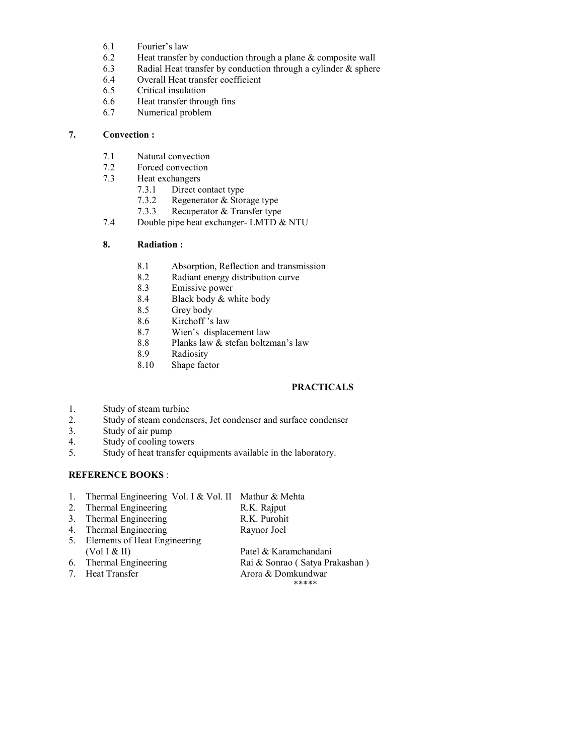- 6.1 Fourier's law
- 6.2 Heat transfer by conduction through a plane  $\&$  composite wall 6.3 Radial Heat transfer by conduction through a cylinder  $\&$  sphere
- 6.3 Radial Heat transfer by conduction through a cylinder  $\&$  sphere 0.4 Overall Heat transfer coefficient
- Overall Heat transfer coefficient
- 6.5 Critical insulation
- 6.6 Heat transfer through fins
- 6.7 Numerical problem

### **7. Convection :**

- 7.1 Natural convection<br>7.2 Forced convection
- Forced convection
- 7.3 Heat exchangers
	- 7.3.1 Direct contact type<br>7.3.2 Regenerator & Stor
	- 7.3.2 Regenerator & Storage type<br>7.3.3 Recuperator & Transfer type
	- Recuperator & Transfer type
- 7.4 Double pipe heat exchanger- LMTD & NTU

# **8. Radiation :**

- 8.1 Absorption, Reflection and transmission
- 8.2 Radiant energy distribution curve
- 8.3 Emissive power<br>8.4 Black body & w
- Black body & white body
- 8.5 Grey body
- 8.6 Kirchoff 's law<br>8.7 Wien's displace
- Wien's displacement law
- 8.8 Planks law & stefan boltzman's law
- 8.9 Radiosity<br>8.10 Shape fact
- Shape factor

# **PRACTICALS**

- 1. Study of steam turbine
- 2. Study of steam condensers, Jet condenser and surface condenser 3. Study of air pump
- Study of air pump
- 4. Study of cooling towers
- 5. Study of heat transfer equipments available in the laboratory.

# **REFERENCE BOOKS:**

- 1. Thermal Engineering Vol. I & Vol. II Mathur & Mehta
- 2. Thermal Engineering R.K. Rajput
- 3. Thermal Engineering R.K. Purohit
- 4. Thermal Engineering Raynor Joel
- 5. Elements of Heat Engineering
- 
- 

(Vol I & II) Patel & Karamchandani<br>6. Thermal Engineering Rai & Sonrao (Satya Pra 6. Thermal Engineering Rai & Sonrao ( Satya Prakashan )<br>
7. Heat Transfer Arora & Domkundwar Arora & Domkundwar \*\*\*\*\*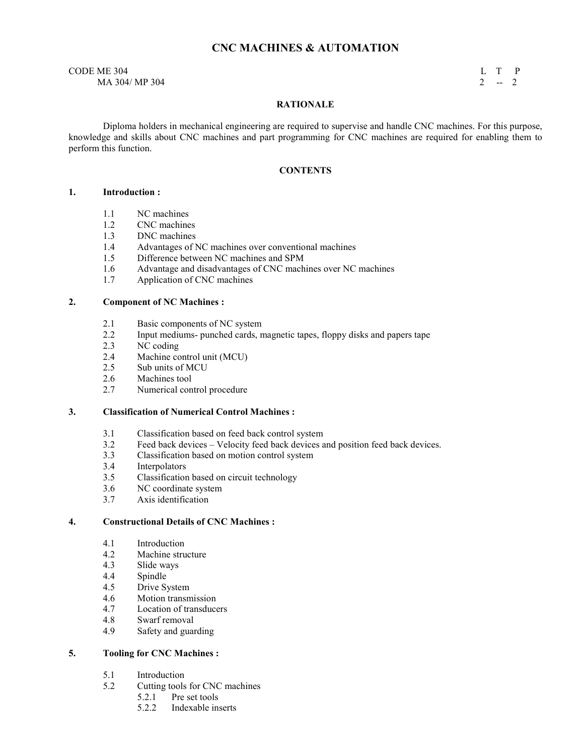# **CNC MACHINES & AUTOMATION**

 $\Box$  CODE ME 304 L T P  $MA$  304/ MP 304 2 -- 2

#### **RATIONALE**

 Diploma holders in mechanical engineering are required to supervise and handle CNC machines. For this purpose, knowledge and skills about CNC machines and part programming for CNC machines are required for enabling them to perform this function.

#### **CONTENTS**

#### **1. Introduction :**

- 1.1 NC machines
- 1.2 CNC machines<br>1.3 DNC machines
- 1.3 DNC machines<br>1.4 Advantages of N
- Advantages of NC machines over conventional machines
- 1.5 Difference between NC machines and SPM
- 1.6 Advantage and disadvantages of CNC machines over NC machines
- 1.7 Application of CNC machines

#### **2. Component of C Machines :**

- 2.1 Basic components of NC system
- 2.2 Input mediums- punched cards, magnetic tapes, floppy disks and papers tape<br>2.3 NC coding
- 2.3 NC coding<br>2.4 Machine co
- 2.4 Machine control unit (MCU)<br>2.5 Sub units of MCU
- 2.5 Sub units of MCU<br>2.6 Machines tool
- Machines tool
- 2.7 Numerical control procedure

# **3.** Classification of Numerical Control Machines :

- 3.1 Classification based on feed back control system<br>3.2 Feed back devices Velocity feed back devices a
- Feed back devices Velocity feed back devices and position feed back devices.
- 3.3 Classification based on motion control system
- 3.4 Interpolators<br>3.5 Classification
- 3.5 Classification based on circuit technology
- 3.6 NC coordinate system
- 3.7 Axis identification

#### **4. Constructional Details of CNC Machines :**

- 4.1 Introduction
- 4.2 Machine structure
- 4.3 Slide ways
- Spindle
- 4.5 Drive System
- 4.6 Motion transmission<br>4.7 Location of transduce
- Location of transducers
- 4.8 Swarf removal
- 4.9 Safety and guarding

#### **5.** Tooling for CNC Machines :

- 5.1 Introduction
- 5.2 Cutting tools for CNC machines
	- 5.2.1 Pre set tools
	- 5.2.2 Indexable inserts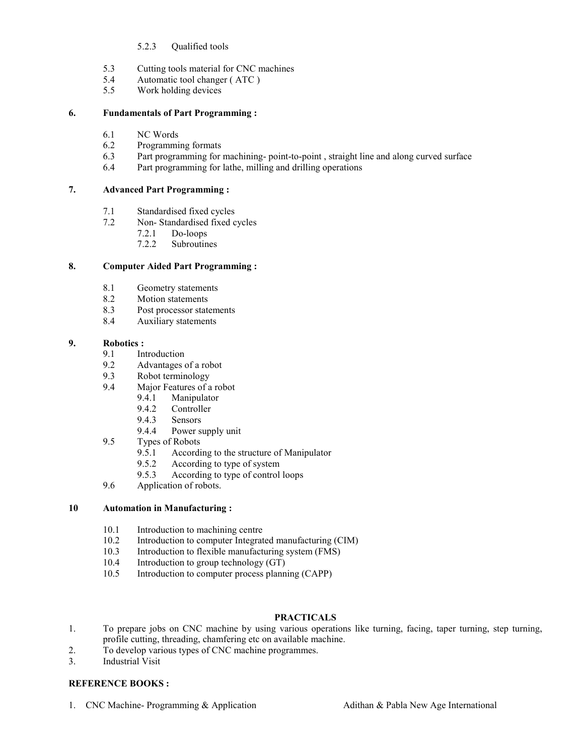### 5.2.3 Qualified tools

- 5.3 Cutting tools material for CNC machines<br>5.4 Automatic tool changer (ATC)
- Automatic tool changer (ATC)
- 5.5 Work holding devices

### **6. Fundamentals of Part Programming :**

- 6.1 NC Words
- 6.2 Programming formats
- 6.3 Part programming for machining- point-to-point, straight line and along curved surface<br>6.4 Part programming for lathe, milling and drilling operations
- Part programming for lathe, milling and drilling operations

#### **7. Advanced Part Programming :**

- 7.1 Standardised fixed cycles
- 7.2 Non- Standardised fixed cycles
	- 7.2.1 Do-loops
	- 7.2.2 Subroutines

#### **8. Computer Aided Part Programming :**

- 8.1 Geometry statements<br>8.2 Motion statements
- Motion statements
- 8.3 Post processor statements
- 8.4 Auxiliary statements

# **9.** Robotics :<br>**9.1** In

- 9.1 Introduction<br>9.2 Advantages
- Advantages of a robot
- 9.3 Robot terminology
- 9.4 Major Features of a robot
	- 9.4.1 Manipulator
	- 9.4.2 Controller
	- 9.4.3 Sensors
	- 9.4.4 Power supply unit
- 9.5 Types of Robots
	- 9.5.1 According to the structure of Manipulator<br>9.5.2 According to type of system
	- According to type of system
	- 9.5.3 According to type of control loops
- 9.6 Application of robots.

#### **10 Automation in Manufacturing :**

- 10.1 Introduction to machining centre<br>10.2 Introduction to computer Integrat
- Introduction to computer Integrated manufacturing (CIM)
- 10.3 Introduction to flexible manufacturing system (FMS)<br>10.4 Introduction to group technology (GT)
- Introduction to group technology (GT)
- 10.5 Introduction to computer process planning (CAPP)

### **PRACTICALS**

- 1. To prepare jobs on CNC machine by using various operations like turning, facing, taper turning, step turning, profile cutting, threading, chamfering etc on available machine.
- 2. To develop various types of CNC machine programmes.
- 3. Industrial Visit

### **REFERENCE BOOKS:**

1. CNC Machine- Programming & Application Adithan & Pabla New Age International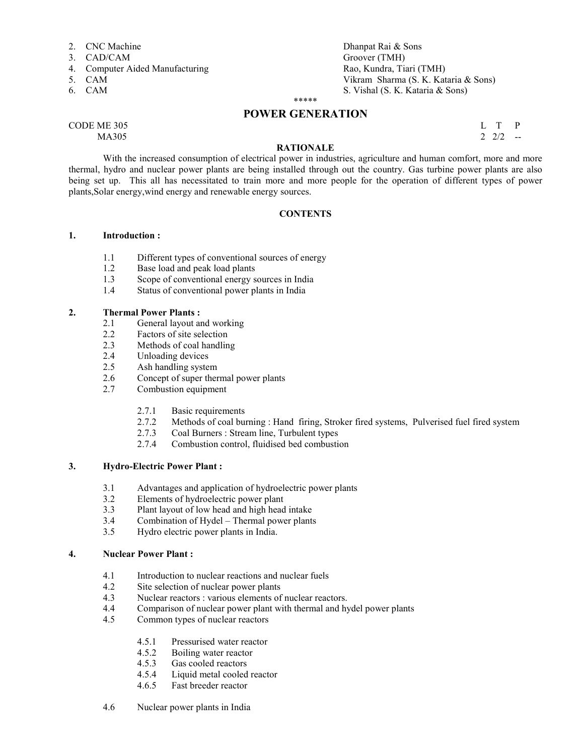- 2. CNC Machine Dhanpat Rai & Sons
- 
- 4. Computer Aided Manufacturing<br>5. CAM
- 
- 

# 3. CAD/CAM Groover (TMH)<br>
4. Computer Aided Manufacturing and the state of the Rao, Kundra, Tiari (TMH) Vikram Sharma (S. K. Kataria & Sons) 6. CAM S. Vishal (S. K. Kataria & Sons)

# \*\*\*\*\* **POWER GENERATION**

 $\begin{array}{cccc}\n\text{CODE ME } 305 \\
\text{MA}305\n\end{array}$  $MA305$  2 2/2  $-$ 

# **RATIONALE**

 With the increased consumption of electrical power in industries, agriculture and human comfort, more and more thermal, hydro and nuclear power plants are being installed through out the country. Gas turbine power plants are also being set up. This all has necessitated to train more and more people for the operation of different types of power plants,Solar energy,wind energy and renewable energy sources.

#### **CONTENTS**

# **1. Introduction :**

- 1.1 Different types of conventional sources of energy<br>1.2 Base load and peak load plants
- Base load and peak load plants
- 1.3 Scope of conventional energy sources in India
- 1.4 Status of conventional power plants in India

#### **2. Thermal Power Plants :**

- 2.1 General layout and working<br>2.2 Factors of site selection
- Factors of site selection
- 2.3 Methods of coal handling
- 2.4 Unloading devices<br>2.5 Ash handling system
- Ash handling system
- 2.6 Concept of super thermal power plants
- 2.7 Combustion equipment
	- 2.7.1 Basic requirements
	- 2.7.2 Methods of coal burning : Hand firing, Stroker fired systems, Pulverised fuel fired system 2.7.3 Coal Burners : Stream line. Turbulent types
	- Coal Burners : Stream line, Turbulent types
	- 2.7.4 Combustion control, fluidised bed combustion

#### **3. Hydro-Electric Power Plant :**

- 3.1 Advantages and application of hydroelectric power plants<br>3.2 Elements of hydroelectric power plant
- Elements of hydroelectric power plant
- 3.3 Plant layout of low head and high head intake
- 3.4 Combination of Hydel Thermal power plants<br>3.5 Hydro electric power plants in India.
- 3.5 Hydro electric power plants in India.

### **4. Nuclear Power Plant :**

- 4.1 Introduction to nuclear reactions and nuclear fuels
- 4.2 Site selection of nuclear power plants<br>4.3 Nuclear reactors : various elements of
- 4.3 Nuclear reactors : various elements of nuclear reactors.<br>4.4 Comparison of nuclear power plant with thermal and hy
- Comparison of nuclear power plant with thermal and hydel power plants
- 4.5 Common types of nuclear reactors
	- 4.5.1 Pressurised water reactor
	- 4.5.2 Boiling water reactor<br>4.5.3 Gas cooled reactors
	- Gas cooled reactors
	- 4.5.4 Liquid metal cooled reactor
	- 4.6.5 Fast breeder reactor
- 4.6 Nuclear power plants in India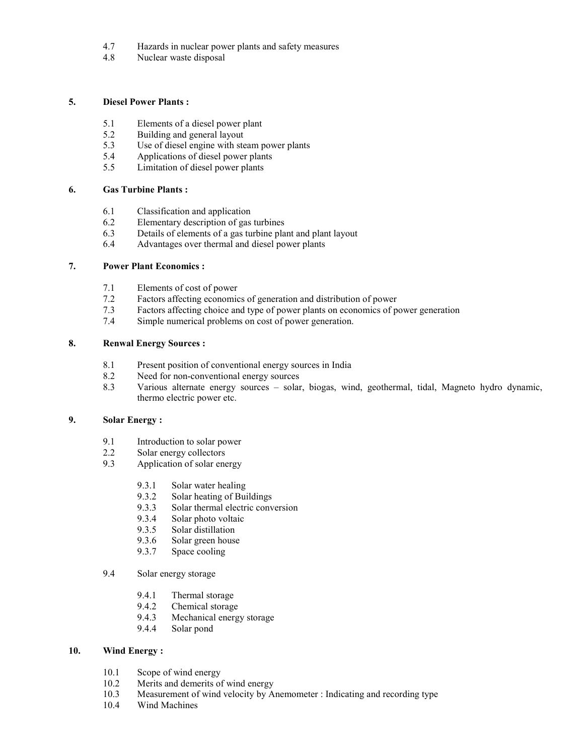- 4.7 Hazards in nuclear power plants and safety measures
- 4.8 Nuclear waste disposal

#### **5. Diesel Power Plants :**

- 5.1 Elements of a diesel power plant<br>5.2 Building and general layout
- 5.2 Building and general layout<br>5.3 Use of diesel engine with ste
- Use of diesel engine with steam power plants
- 5.4 Applications of diesel power plants<br>5.5 Limitation of diesel power plants
- Limitation of diesel power plants

#### **6. Gas Turbine Plants :**

- 6.1 Classification and application
- 6.2 Elementary description of gas turbines<br>6.3 Details of elements of a gas turbine pla
- Details of elements of a gas turbine plant and plant layout
- 6.4 Advantages over thermal and diesel power plants

#### **7. Power Plant Economics :**

- 7.1 Elements of cost of power<br>7.2 Factors affecting economic
- Factors affecting economics of generation and distribution of power
- 7.3 Factors affecting choice and type of power plants on economics of power generation
- 7.4 Simple numerical problems on cost of power generation.

# **8. Renwal Energy Sources :**

- 8.1 Present position of conventional energy sources in India
- 8.2 Need for non-conventional energy sources
- 8.3 Various alternate energy sources solar, biogas, wind, geothermal, tidal, Magneto hydro dynamic, thermo electric power etc.

# **9. Solar Energy :**

- 9.1 Introduction to solar power<br>2.2 Solar energy collectors
- 2.2 Solar energy collectors<br>9.3 Application of solar ene
- Application of solar energy
	- 9.3.1 Solar water healing
	- 9.3.2 Solar heating of Buildings
	- 9.3.3 Solar thermal electric conversion
	- 9.3.4 Solar photo voltaic
	- 9.3.5 Solar distillation
	- 9.3.6 Solar green house
	- 9.3.7 Space cooling
- 9.4 Solar energy storage
	- 9.4.1 Thermal storage
	- 9.4.2 Chemical storage
	- 9.4.3 Mechanical energy storage
	- 9.4.4 Solar pond

# **10. Wind Energy :**

- 10.1 Scope of wind energy
- 10.2 Merits and demerits of wind energy<br>10.3 Measurement of wind velocity by A
- Measurement of wind velocity by Anemometer : Indicating and recording type
- 10.4 Wind Machines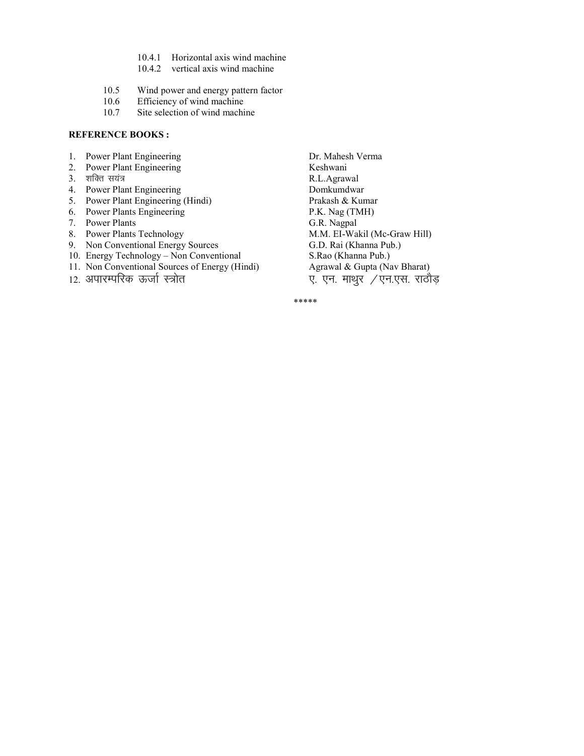- 10.4.1 Horizontal axis wind machine
- 10.4.2 vertical axis wind machine
- 10.5 Wind power and energy pattern factor<br>10.6 Efficiency of wind machine
- 10.6 Efficiency of wind machine<br>10.7 Site selection of wind machi
- Site selection of wind machine

#### **REFERENCE BOOKS:**

- 
- Power Plant Engineering
- 
- 
- 5. Power Plant Engineering (Hindi) Prakash & Kumar
- 6. Power Plants Engineering P.K. Nag (TMH)
- 
- 7. Power Plants<br>
8. Power Plants Technology<br>
M.M. EI-Wa
- 9. Non Conventional Energy Sources
- 
- 11. Non Conventional Sources of Energy (Hindi) Agrawal & Gupta (Nav Bharat)
- 

1. Power Plant Engineering 2. Dr. Mahesh Verma<br>
2. Power Plant Engineering 2. Keshwani 3. 'kfDr l;a= R.L.Agrawal 4. Power Plant Engineering Bomkumdwar<br>
5. Power Plant Engineering (Hindi) Prakash & Kumar M.M. EI-Wakil (Mc-Graw Hill)<br>G.D. Rai (Khanna Pub.) 10. Energy Technology – Non Conventional S.Rao (Khanna Pub.)<br>11. Non Conventional Sources of Energy (Hindi) Agrawal & Gupta (Nav Bharat) 12. अपारम्परिक ऊर्जा स्त्रोत ए. एन. माथुर /एन.एस. राठौड़

\*\*\*\*\*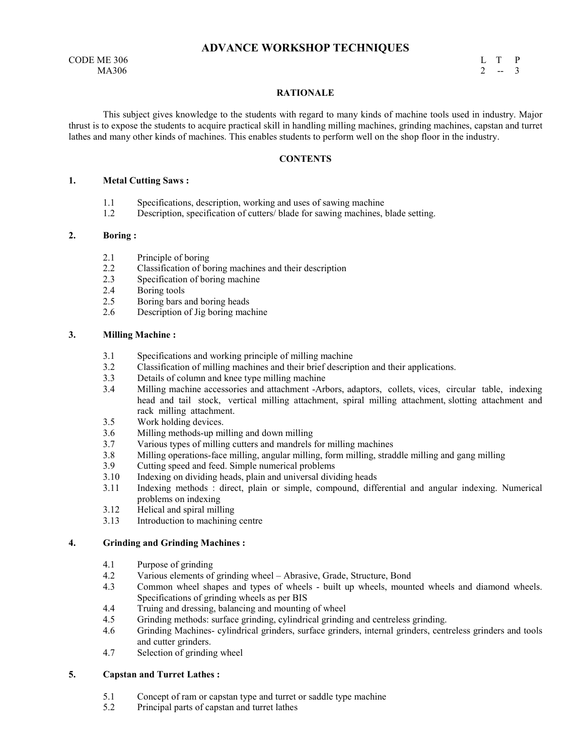# **ADVANCE WORKSHOP TECHNIQUES**

CODE ME 306 L T P MA306 2 -- 3  $MA306$  2 -- 3

#### **RATIONALE**

 This subject gives knowledge to the students with regard to many kinds of machine tools used in industry. Major thrust is to expose the students to acquire practical skill in handling milling machines, grinding machines, capstan and turret lathes and many other kinds of machines. This enables students to perform well on the shop floor in the industry.

#### **CONTENTS**

#### **1. Metal Cutting Saws :**

- 1.1 Specifications, description, working and uses of sawing machine
- 1.2 Description, specification of cutters/ blade for sawing machines, blade setting.

#### **2. Boring :**

- 2.1 Principle of boring<br>2.2 Classification of bo
- 2.2 Classification of boring machines and their description
- 2.3 Specification of boring machine
- 2.4 Boring tools<br>2.5 Boring bars a
- 2.5 Boring bars and boring heads
- 2.6 Description of Jig boring machine

#### **3. Milling Machine :**

- 3.1 Specifications and working principle of milling machine<br>3.2 Classification of milling machines and their brief descrip
- 3.2 Classification of milling machines and their brief description and their applications.
- 3.3 Details of column and knee type milling machine
- 3.4 Milling machine accessories and attachment -Arbors, adaptors, collets, vices, circular table, indexing head and tail stock, vertical milling attachment, spiral milling attachment, slotting attachment and rack milling attachment.
- 3.5 Work holding devices.
- 3.6 Milling methods-up milling and down milling
- 3.7 Various types of milling cutters and mandrels for milling machines
- 3.8 Milling operations-face milling, angular milling, form milling, straddle milling and gang milling
- 3.9 Cutting speed and feed. Simple numerical problems
- 3.10 Indexing on dividing heads, plain and universal dividing heads
- 3.11 Indexing methods : direct, plain or simple, compound, differential and angular indexing. Numerical problems on indexing
- 3.12 Helical and spiral milling
- 3.13 Introduction to machining centre

#### **4. Grinding and Grinding Machines :**

- 4.1 Purpose of grinding
- 4.2 Various elements of grinding wheel Abrasive, Grade, Structure, Bond
- 4.3 Common wheel shapes and types of wheels built up wheels, mounted wheels and diamond wheels. Specifications of grinding wheels as per BIS
- 4.4 Truing and dressing, balancing and mounting of wheel
- 4.5 Grinding methods: surface grinding, cylindrical grinding and centreless grinding.<br>4.6 Grinding Machines- cylindrical grinders, surface grinders, internal grinders, cent
- Grinding Machines- cylindrical grinders, surface grinders, internal grinders, centreless grinders and tools and cutter grinders.
- 4.7 Selection of grinding wheel

# **5. Capstan and Turret Lathes :**

- 5.1 Concept of ram or capstan type and turret or saddle type machine
- 5.2 Principal parts of capstan and turret lathes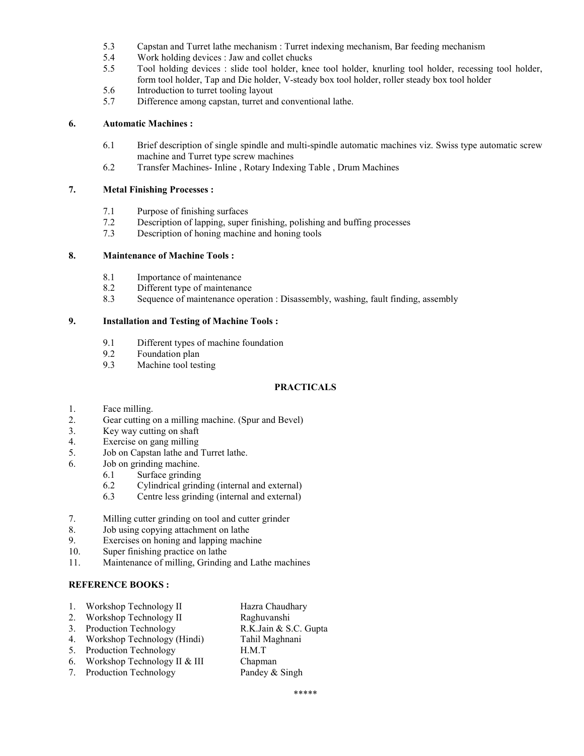- 5.3 Capstan and Turret lathe mechanism : Turret indexing mechanism, Bar feeding mechanism
- 5.4 Work holding devices : Jaw and collet chucks<br>5.5 Tool holding devices : slide tool holder, kne
- 5.5 Tool holding devices : slide tool holder, knee tool holder, knurling tool holder, recessing tool holder, form tool holder, Tap and Die holder, V-steady box tool holder, roller steady box tool holder
- 5.6 Introduction to turret tooling layout<br>5.7 Difference among capstan, turret an
- Difference among capstan, turret and conventional lathe.

#### **6. Automatic Machines :**

- 6.1 Brief description of single spindle and multi-spindle automatic machines viz. Swiss type automatic screw machine and Turret type screw machines
- 6.2 Transfer Machines- Inline , Rotary Indexing Table , Drum Machines

### **7. Metal Finishing Processes :**

- 7.1 Purpose of finishing surfaces
- 7.2 Description of lapping, super finishing, polishing and buffing processes 7.3 Description of honing machine and honing tools
- Description of honing machine and honing tools

#### **8. Maintenance of Machine Tools :**

- 8.1 Importance of maintenance
- 8.2 Different type of maintenance<br>8.3 Sequence of maintenance oper
- Sequence of maintenance operation : Disassembly, washing, fault finding, assembly

#### **9. Installation and Testing of Machine Tools :**

- 9.1 Different types of machine foundation
- 9.2 Foundation plan<br>9.3 Machine tool test
- Machine tool testing

### **PRACTICALS**

- 1. Face milling.
- 2. Gear cutting on a milling machine. (Spur and Bevel)<br>3. Key way cutting on shaft
- Key way cutting on shaft
- 4. Exercise on gang milling
- 5. Job on Capstan lathe and Turret lathe.
- 6. Job on grinding machine.
	- 6.1 Surface grinding
	- 6.2 Cylindrical grinding (internal and external)
	- 6.3 Centre less grinding (internal and external)
- 7. Milling cutter grinding on tool and cutter grinder
- 8. Job using copying attachment on lathe
- 9. Exercises on honing and lapping machine
- 10. Super finishing practice on lathe
- 11. Maintenance of milling, Grinding and Lathe machines

### **REFERENCE BOOKS:**

- 1. Workshop Technology II Hazra Chaudhary
- 2. Workshop Technology II Raghuvanshi
- 3. Production Technology R.K.Jain & S.C. Gupta
- 4. Workshop Technology (Hindi) Tahil Maghnani
- 5. Production Technology H.M.T
- 6. Workshop Technology II & III Chapman
- 7. Production Technology Pandey & Singh
-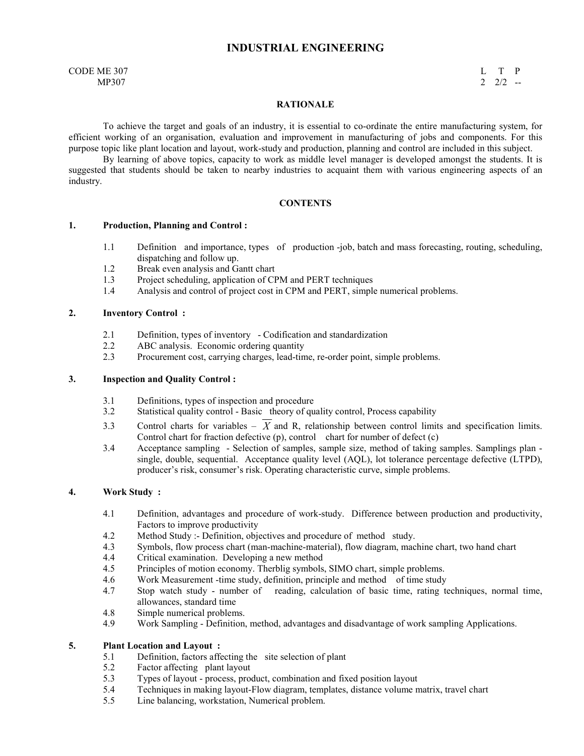# **INDUSTRIAL ENGINEERING**

CODE ME 307 L T P  $MP307$  2 2/2 --

#### **RATIONALE**

 To achieve the target and goals of an industry, it is essential to co-ordinate the entire manufacturing system, for efficient working of an organisation, evaluation and improvement in manufacturing of jobs and components. For this purpose topic like plant location and layout, work-study and production, planning and control are included in this subject.

 By learning of above topics, capacity to work as middle level manager is developed amongst the students. It is suggested that students should be taken to nearby industries to acquaint them with various engineering aspects of an industry.

#### **CONTENTS**

#### **1. Production, Planning and Control :**

- 1.1 Definition and importance, types of production -job, batch and mass forecasting, routing, scheduling, dispatching and follow up.
- 1.2 Break even analysis and Gantt chart<br>1.3 Project scheduling, application of CF
- Project scheduling, application of CPM and PERT techniques
- 1.4 Analysis and control of project cost in CPM and PERT, simple numerical problems.

#### **2. Inventory Control :**

- 2.1 Definition, types of inventory Codification and standardization<br>2.2 ABC analysis. Economic ordering quantity
- 2.2 ABC analysis. Economic ordering quantity<br>2.3 Procurement cost, carrying charges, lead-tim
- Procurement cost, carrying charges, lead-time, re-order point, simple problems.

# **3. Inspection and Quality Control :**

- 3.1 Definitions, types of inspection and procedure<br>3.2 Statistical quality control Basic theory of qu
- Statistical quality control Basic theory of quality control, Process capability
- 3.3 Control charts for variables  $\overline{X}$  and R, relationship between control limits and specification limits. Control chart for fraction defective  $(p)$ , control chart for number of defect  $(c)$
- 3.4 Acceptance sampling Selection of samples, sample size, method of taking samples. Samplings plan single, double, sequential. Acceptance quality level (AQL), lot tolerance percentage defective (LTPD), producer's risk, consumer's risk. Operating characteristic curve, simple problems.

#### **4. Work Study :**

- 4.1 Definition, advantages and procedure of work-study. Difference between production and productivity, Factors to improve productivity
- 4.2 Method Study :- Definition, objectives and procedure of method study.<br>4.3 Symbols, flow process chart (man-machine-material), flow diagram, machine-material)
- Symbols, flow process chart (man-machine-material), flow diagram, machine chart, two hand chart
- 4.4 Critical examination. Developing a new method<br>4.5 Principles of motion economy. Therblig symbols
- Principles of motion economy. Therblig symbols, SIMO chart, simple problems.
- 4.6 Work Measurement -time study, definition, principle and method of time study
- 4.7 Stop watch study number of reading, calculation of basic time, rating techniques, normal time, allowances, standard time
- 4.8 Simple numerical problems.
- 4.9 Work Sampling Definition, method, advantages and disadvantage of work sampling Applications.

# **5. Plant Location and Layout :**

- 5.1 Definition, factors affecting the site selection of plant 5.2 Factor affecting plant layout
- 5.2 Factor affecting plant layout<br>5.3 Types of layout process, proc
- 5.3 Types of layout process, product, combination and fixed position layout 5.4 Techniques in making layout-Flow diagram, templates, distance volume n
- Techniques in making layout-Flow diagram, templates, distance volume matrix, travel chart
- 5.5 Line balancing, workstation, Numerical problem.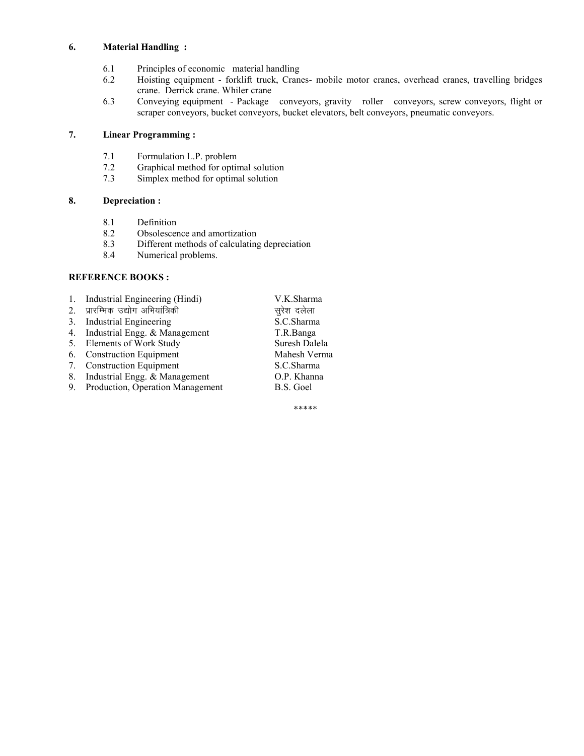# **6. Material Handling :**

- 6.1 Principles of economic material handling<br>6.2 Hoisting equipment forklift truck, Crane
- Hoisting equipment forklift truck, Cranes- mobile motor cranes, overhead cranes, travelling bridges crane. Derrick crane. Whiler crane
- 6.3 Conveying equipment Package conveyors, gravity roller conveyors, screw conveyors, flight or scraper conveyors, bucket conveyors, bucket elevators, belt conveyors, pneumatic conveyors.

# **7. Linear Programming :**

- 7.1 Formulation L.P. problem<br>7.2 Graphical method for optin
- 7.2 Graphical method for optimal solution<br>7.3 Simplex method for optimal solution
- Simplex method for optimal solution

# **8. Depreciation :**

- 8.1 Definition<br>8.2 Obsolescer
- Obsolescence and amortization
- 8.3 Different methods of calculating depreciation
- 8.4 Numerical problems.

# **REFERENCE BOOKS:**

| Industrial Engineering (Hindi)<br>$\mathbf{1}$ . | V.K.Sharma    |
|--------------------------------------------------|---------------|
| 2. प्रारम्भिक उद्योग अभियांत्रिकी                | सुरेश दलेला   |
| Industrial Engineering<br>3.                     | S.C.Sharma    |
| Industrial Engg. & Management<br>4.              | T.R.Banga     |
| 5. Elements of Work Study                        | Suresh Dalela |
| 6. Construction Equipment                        | Mahesh Verma  |
| 7. Construction Equipment                        | S.C.Sharma    |
| Industrial Engg. & Management<br>8.              | O.P. Khanna   |
| 9. Production, Operation Management              | B.S. Goel     |

\*\*\*\*\*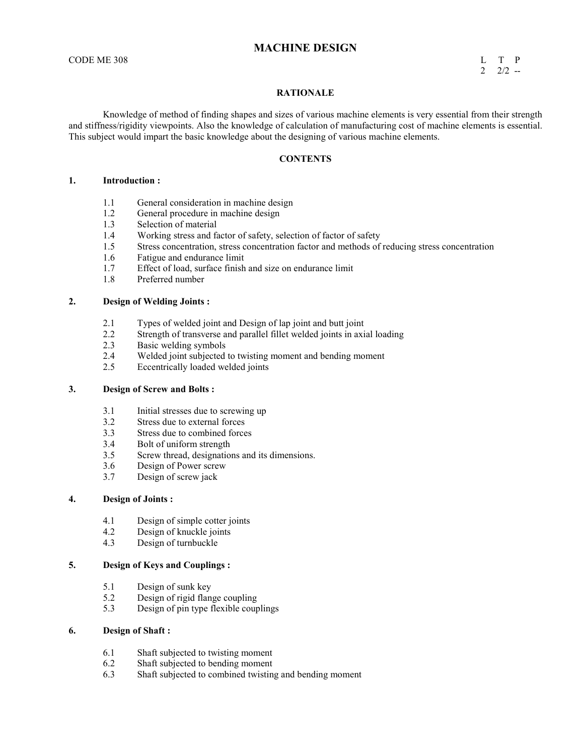# **MACHINE DESIGN**

#### CODE ME 308 L T P  $2 \t2 \t2$  --

#### **RATIONALE**

 Knowledge of method of finding shapes and sizes of various machine elements is very essential from their strength and stiffness/rigidity viewpoints. Also the knowledge of calculation of manufacturing cost of machine elements is essential. This subject would impart the basic knowledge about the designing of various machine elements.

#### **CONTENTS**

#### **1. Introduction :**

- 1.1 General consideration in machine design
- 1.2 General procedure in machine design
- 1.3 Selection of material<br>1.4 Working stress and fa
- 1.4 Working stress and factor of safety, selection of factor of safety<br>1.5 Stress concentration, stress concentration factor and methods of
- 1.5 Stress concentration, stress concentration factor and methods of reducing stress concentration
- 1.6 Fatigue and endurance limit<br>1.7 Effect of load, surface finish
- Effect of load, surface finish and size on endurance limit
- 1.8 Preferred number

#### **2. Design of Welding Joints :**

- 2.1 Types of welded joint and Design of lap joint and butt joint 2.2 Strength of transverse and parallel fillet welded joints in axi
- Strength of transverse and parallel fillet welded joints in axial loading
- 2.3 Basic welding symbols
- 2.4 Welded joint subjected to twisting moment and bending moment<br>2.5 Eccentrically loaded welded ioints
- Eccentrically loaded welded joints

#### **3. Design of Screw and Bolts :**

- 3.1 Initial stresses due to screwing up
- 3.2 Stress due to external forces<br>3.3 Stress due to combined force
- Stress due to combined forces
- 3.4 Bolt of uniform strength
- 3.5 Screw thread, designations and its dimensions.
- 3.6 Design of Power screw
- 3.7 Design of screw jack

#### **4. Design of Joints :**

- 4.1 Design of simple cotter joints<br>4.2 Design of knuckle joints
- Design of knuckle joints
- 4.3 Design of turnbuckle

#### **5. Design of Keys and Couplings :**

- 5.1 Design of sunk key<br>5.2 Design of rigid flan
- 5.2 Design of rigid flange coupling<br>5.3 Design of pin type flexible coup
- 5.3 Design of pin type flexible couplings

#### **6. Design of Shaft :**

- 6.1 Shaft subjected to twisting moment<br>6.2 Shaft subjected to bending moment
- Shaft subjected to bending moment
- 6.3 Shaft subjected to combined twisting and bending moment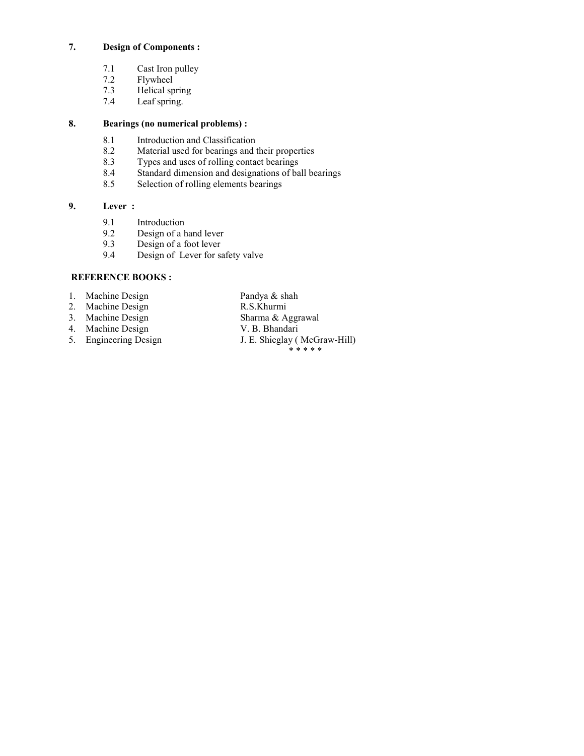# **7. Design of Components :**

- 7.1 Cast Iron pulley<br>7.2 Flywheel
- 7.2 Flywheel<br>7.3 Helical sp
- 7.3 Helical spring<br>7.4 Leaf spring.
- Leaf spring.

# **8. Bearings (no numerical problems) :**

- 8.1 Introduction and Classification<br>8.2 Material used for bearings and t
- Material used for bearings and their properties
- 
- 8.3 Types and uses of rolling contact bearings<br>8.4 Standard dimension and designations of ba 8.4 Standard dimension and designations of ball bearings<br>8.5 Selection of rolling elements bearings
- Selection of rolling elements bearings

# **9. Lever :**

- 9.1 Introduction<br>9.2 Design of a h
- Design of a hand lever
- 9.3 Design of a foot lever
- 9.4 Design of Lever for safety valve

# **REFERENCE BOOKS:**

- 1. Machine Design Pandya & shah<br>2. Machine Design R.S.Khurmi
- 
- 
- 
- 4. Machine Design<br>5. Engineering Design
- 2. Machine Design R.S.Khurmi<br>
3. Machine Design Sharma & Aggrawal 3. Machine Design Sharma & Aggr<br>4. Machine Design V. B. Bhandari
	- J. E. Shieglay ( McGraw-Hill)
		- \* \* \* \* \*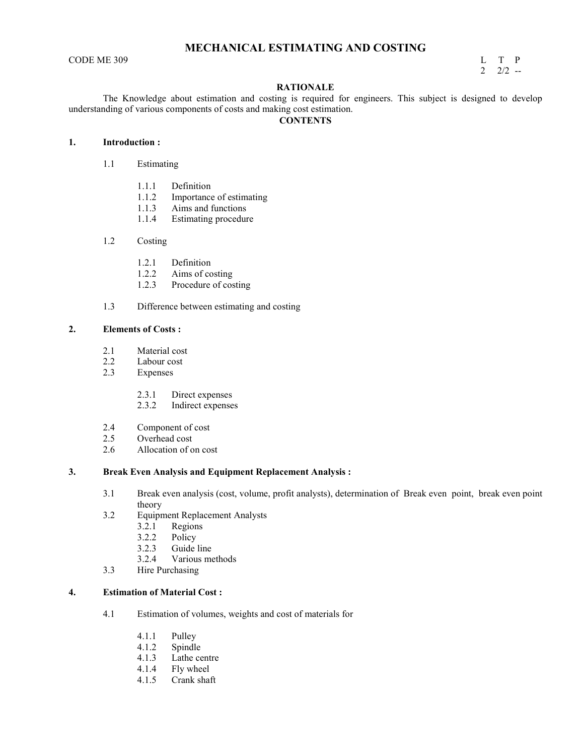# **MECHANICAL ESTIMATING AND COSTING**

 $\begin{array}{ccc}\n\text{CODE ME } 309 \\
\text{L} & \text{T} & \text{P} \\
\text{2} & 2/2 & -1\n\end{array}$  $2\frac{2}{2}$  --

#### **RATIONALE**

 The Knowledge about estimation and costing is required for engineers. This subject is designed to develop understanding of various components of costs and making cost estimation.

# **CONTENTS**

# **1. Introduction :**

- 1.1 Estimating
	- 1.1.1 Definition
	- 1.1.2 Importance of estimating
	- 1.1.3 Aims and functions
	- 1.1.4 Estimating procedure

#### 1.2 Costing

- 1.2.1 Definition
- 1.2.2 Aims of costing<br>1.2.3 Procedure of cos
- Procedure of costing
- 1.3 Difference between estimating and costing

#### **2. Elements of Costs :**

- 2.1 Material cost<br>2.2 Labour cost
- 2.2 Labour cost<br>2.3 Expenses
- **Expenses** 
	- 2.3.1 Direct expenses
	- 2.3.2 Indirect expenses
- 2.4 Component of cost
- 2.5 Overhead cost<br>2.6 Allocation of o
- Allocation of on cost

#### **3. Break Even Analysis and Equipment Replacement Analysis :**

- 3.1 Break even analysis (cost, volume, profit analysts), determination of Break even point, break even point theory
- 3.2 Equipment Replacement Analysts
	- 3.2.1 Regions
	-
	- 3.2.2 Policy<br>3.2.3 Guide Guide line
	- 3.2.4 Various methods
- 3.3 Hire Purchasing

#### **4. Estimation of Material Cost :**

- 4.1 Estimation of volumes, weights and cost of materials for
	- 4.1.1 Pulley<br>4.1.2 Spindle
	- Spindle
	- 4.1.3 Lathe centre
	- 4.1.4 Fly wheel<br>4.1.5 Crank shat
	- Crank shaft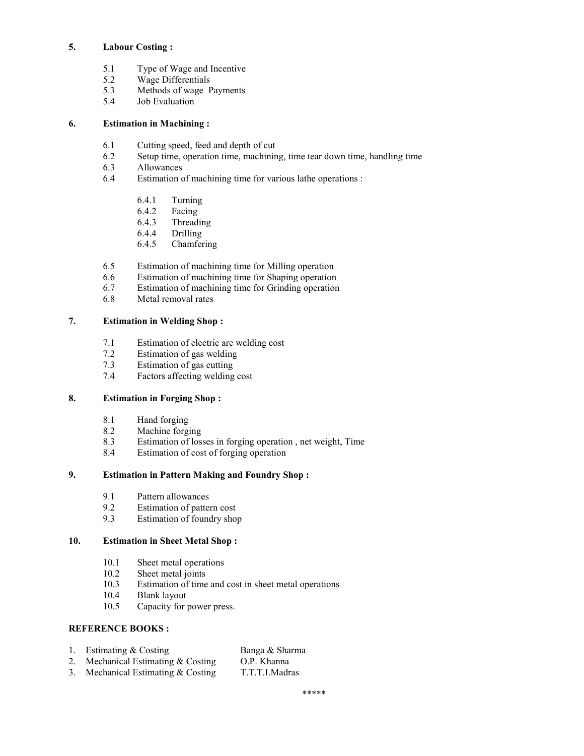# **5. Labour Costing :**

- 5.1 Type of Wage and Incentive<br>5.2 Wage Differentials
- Wage Differentials
- 5.3 Methods of wage Payments<br>5.4 Job Evaluation
- Job Evaluation

# **6. Estimation in Machining :**

- 6.1 Cutting speed, feed and depth of cut
- 6.2 Setup time, operation time, machining, time tear down time, handling time Allowances
- **Allowances**
- 6.4 Estimation of machining time for various lathe operations :
	- 6.4.1 Turning
	- 6.4.2 Facing
	- 6.4.3 Threading<br>6.4.4 Drilling
	- **Drilling**
	- 6.4.5 Chamfering
- 6.5 Estimation of machining time for Milling operation
- 6.6 Estimation of machining time for Shaping operation
- 6.7 Estimation of machining time for Grinding operation<br>6.8 Metal removal rates
- Metal removal rates

# **7. Estimation in Welding Shop :**

- 7.1 Estimation of electric are welding cost
- 7.2 Estimation of gas welding<br>7.3 Estimation of gas cutting
- Estimation of gas cutting
- 7.4 Factors affecting welding cost

# **8. Estimation in Forging Shop :**

- 8.1 Hand forging<br>8.2 Machine forg
- Machine forging
- 8.3 Estimation of losses in forging operation , net weight, Time
- 8.4 Estimation of cost of forging operation

# **9. Estimation in Pattern Making and Foundry Shop :**

- 9.1 Pattern allowances
- 9.2 Estimation of pattern cost<br>9.3 Estimation of foundry shop
- Estimation of foundry shop

# **10. Estimation in Sheet Metal Shop :**

- 10.1 Sheet metal operations<br>10.2 Sheet metal joints
- Sheet metal joints
- 10.3 Estimation of time and cost in sheet metal operations
- 10.4 Blank layout
- 10.5 Capacity for power press.

# **REFERENCE BOOKS:**

- 1. Estimating & Costing Banga & Sharma<br>
2. Mechanical Estimating & Costing O.P. Khanna
- 2. Mechanical Estimating  $&$  Costing
- 3. Mechanical Estimating & Costing T.T.T.I.Madras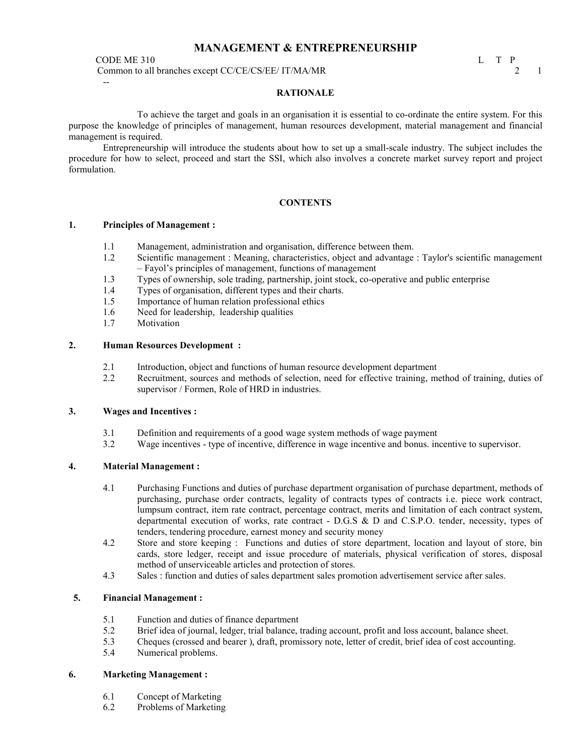# **MANAGEMENT & ENTREPRENEURSHIP**

CODE ME 310 L T P<br>Common to all branches except CC/CE/CS/EE/ IT/MA/MR Common to all branches except CC/CE/CS/EE/ IT/MA/MR 2 2 1 --

#### **RATIONALE**

 To achieve the target and goals in an organisation it is essential to co-ordinate the entire system. For this purpose the knowledge of principles of management, human resources development, material management and financial management is required.

Entrepreneurship will introduce the students about how to set up a small-scale industry. The subject includes the procedure for how to select, proceed and start the SSI, which also involves a concrete market survey report and project formulation.

#### **CONTENTS**

#### **1. Principles of Management :**

- 1.1 Management, administration and organisation, difference between them.
- 1.2 Scientific management : Meaning, characteristics, object and advantage : Taylor's scientific management – Fayol's principles of management, functions of management
- 1.3 Types of ownership, sole trading, partnership, joint stock, co-operative and public enterprise
- 1.4 Types of organisation, different types and their charts.<br>1.5 Importance of human relation professional ethics
- Importance of human relation professional ethics
- 1.6 Need for leadership, leadership qualities
- 1.7 Motivation

#### **2. Human Resources Development :**

- 2.1 Introduction, object and functions of human resource development department
- 2.2 Recruitment, sources and methods of selection, need for effective training, method of training, duties of supervisor / Formen, Role of HRD in industries.

#### **3. Wages and Incentives :**

- 3.1 Definition and requirements of a good wage system methods of wage payment
- 3.2 Wage incentives type of incentive, difference in wage incentive and bonus. incentive to supervisor.

### **4. Material Management :**

- 4.1 Purchasing Functions and duties of purchase department organisation of purchase department, methods of purchasing, purchase order contracts, legality of contracts types of contracts i.e. piece work contract, lumpsum contract, item rate contract, percentage contract, merits and limitation of each contract system, departmental execution of works, rate contract - D.G.S & D and C.S.P.O. tender, necessity, types of tenders, tendering procedure, earnest money and security money
- 4.2 Store and store keeping : Functions and duties of store department, location and layout of store, bin cards, store ledger, receipt and issue procedure of materials, physical verification of stores, disposal method of unserviceable articles and protection of stores.
- 4.3 Sales : function and duties of sales department sales promotion advertisement service after sales.

# **5. Financial Management :**

- 5.1 Function and duties of finance department<br>5.2 Brief idea of journal, ledger, trial balance,
- 5.2 Brief idea of journal, ledger, trial balance, trading account, profit and loss account, balance sheet.
- 5.3 Cheques (crossed and bearer ), draft, promissory note, letter of credit, brief idea of cost accounting.
	- 5.4 Numerical problems.

### **6. Marketing Management :**

- 6.1 Concept of Marketing
- 6.2 Problems of Marketing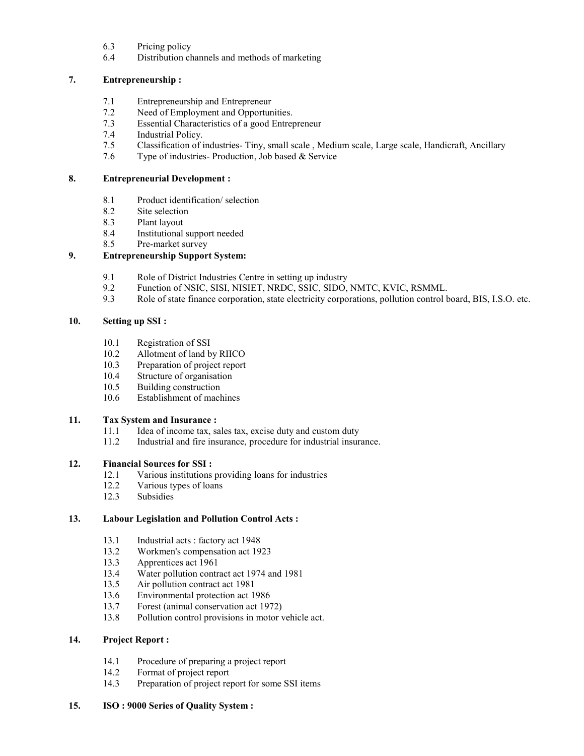- 6.3 Pricing policy
- 6.4 Distribution channels and methods of marketing

# **7. Entrepreneurship :**

- 7.1 Entrepreneurship and Entrepreneur
- 7.2 Need of Employment and Opportunities.
- 7.3 Essential Characteristics of a good Entrepreneur
- Industrial Policy.
- 7.5 Classification of industries- Tiny, small scale , Medium scale, Large scale, Handicraft, Ancillary
- 7.6 Type of industries- Production, Job based & Service

# **8. Entrepreneurial Development :**

- 8.1 Product identification/ selection
- 8.2 Site selection
- 8.3 Plant layout<br>8.4 Institutional
- Institutional support needed
- 8.5 Pre-market survey

# **9. Entrepreneurship Support System:**

- 9.1 Role of District Industries Centre in setting up industry
- 9.2 Function of NSIC, SISI, NISIET, NRDC, SSIC, SIDO, NMTC, KVIC, RSMML.<br>9.3 Role of state finance corporation, state electricity corporations, pollution control b
- Role of state finance corporation, state electricity corporations, pollution control board, BIS, I.S.O. etc.

# **10. Setting up SSI :**

- 10.1 Registration of SSI
- 10.2 Allotment of land by RIICO<br>10.3 Preparation of project report
- Preparation of project report
- 10.4 Structure of organisation
- 10.5 Building construction
- 10.6 Establishment of machines

# **11. Tax System and Insurance :**

- 11.1 Idea of income tax, sales tax, excise duty and custom duty
- 11.2 Industrial and fire insurance, procedure for industrial insurance.

### **12. Financial Sources for SSI :**

- 12.1 Various institutions providing loans for industries
- 12.2 Various types of loans
- 12.3 Subsidies

# **13. Labour Legislation and Pollution Control Acts :**

- 13.1 Industrial acts : factory act 1948
- 13.2 Workmen's compensation act 1923<br>13.3 Apprentices act 1961
- 13.3 Apprentices act 1961<br>13.4 Water pollution contra
- 13.4 Water pollution contract act 1974 and 1981
- 13.5 Air pollution contract act 1981
- 13.6 Environmental protection act 1986
- 13.7 Forest (animal conservation act 1972)
- 13.8 Pollution control provisions in motor vehicle act.

# **14. Project Report :**

- 14.1 Procedure of preparing a project report
- 14.2 Format of project report
- 14.3 Preparation of project report for some SSI items

### **15. ISO : 9000 Series of Quality System :**